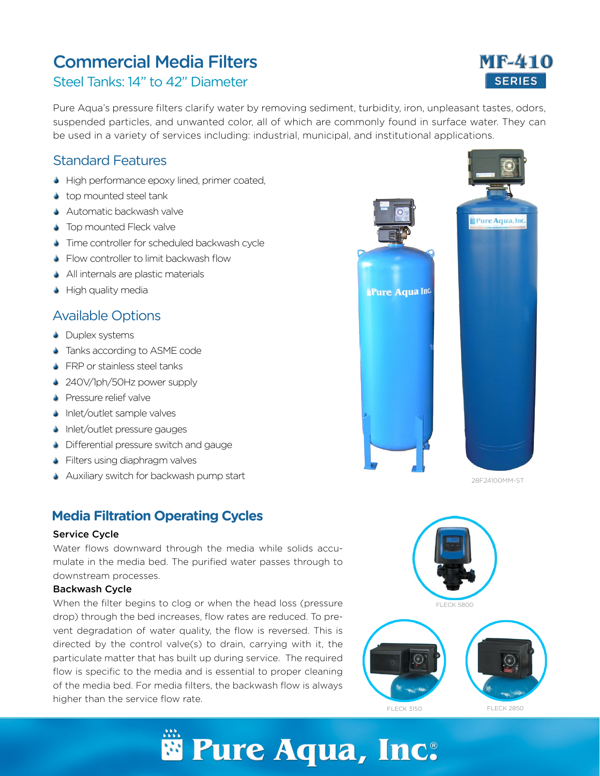# **Commercial Media Filters <b>MF-410**

## Steel Tanks: 14" to 42" Diameter

Pure Aqua's pressure filters clarify water by removing sediment, turbidity, iron, unpleasant tastes, odors, suspended particles, and unwanted color, all of which are commonly found in surface water. They can be used in a variety of services including: industrial, municipal, and institutional applications.

### Standard Features

- High performance epoxy lined, primer coated,
- top mounted steel tank
- **Automatic backwash valve**
- Top mounted Fleck valve
- **S** Time controller for scheduled backwash cycle
- S Flow controller to limit backwash flow
- All internals are plastic materials
- **•** High quality media

### Available Options

- **C** Duplex systems
- Tanks according to ASME code
- **S** FRP or stainless steel tanks
- 240V/1ph/50Hz power supply
- **S** Pressure relief valve
- Inlet/outlet sample valves
- **Inlet/outlet pressure gauges**
- **Differential pressure switch and gauge**
- **S** Filters using diaphragm valves
- **Auxiliary switch for backwash pump start**

### **Media Filtration Operating Cycles**

#### Service Cycle

Water flows downward through the media while solids accumulate in the media bed. The purified water passes through to downstream processes.

#### Backwash Cycle

When the filter begins to clog or when the head loss (pressure drop) through the bed increases, flow rates are reduced. To prevent degradation of water quality, the flow is reversed. This is directed by the control valve(s) to drain, carrying with it, the particulate matter that has built up during service. The required flow is specific to the media and is essential to proper cleaning of the media bed. For media filters, the backwash flow is always higher than the service flow rate.



28F24100MM-ST



# **SERIES**

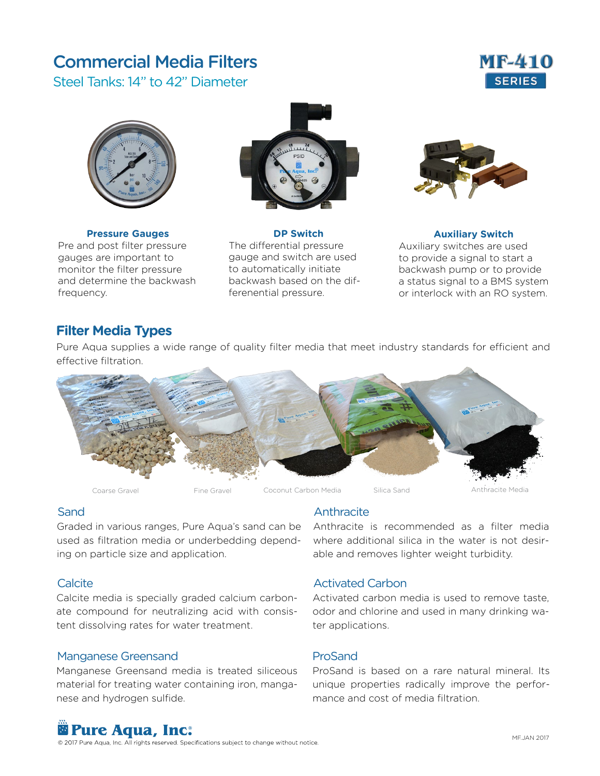# **Commercial Media Filters <b>MF-410**

Steel Tanks: 14" to 42" Diameter





**Pressure Gauges** Pre and post filter pressure gauges are important to monitor the filter pressure and determine the backwash frequency.



**DP Switch** The differential pressure gauge and switch are used to automatically initiate backwash based on the differenential pressure.



**Auxiliary Switch** Auxiliary switches are used to provide a signal to start a backwash pump or to provide a status signal to a BMS system or interlock with an RO system.

### **Filter Media Types**

Pure Aqua supplies a wide range of quality filter media that meet industry standards for efficient and effective filtration.



#### Sand

Graded in various ranges, Pure Aqua's sand can be Anthracite is recommended as a filter media used as filtration media or underbedding depending on particle size and application.

#### **Calcite**

Calcite media is specially graded calcium carbonate compound for neutralizing acid with consistent dissolving rates for water treatment.

#### Manganese Greensand

Manganese Greensand media is treated siliceous material for treating water containing iron, manganese and hydrogen sulfide.

#### **Anthracite**

where additional silica in the water is not desirable and removes lighter weight turbidity.

#### Activated Carbon

Activated carbon media is used to remove taste, odor and chlorine and used in many drinking water applications.

#### ProSand

ProSand is based on a rare natural mineral. Its unique properties radically improve the performance and cost of media filtration.

# **Pure Aqua, Inc.**

© 2017 Pure Aqua, Inc. All rights reserved. Specifications subject to change without notice.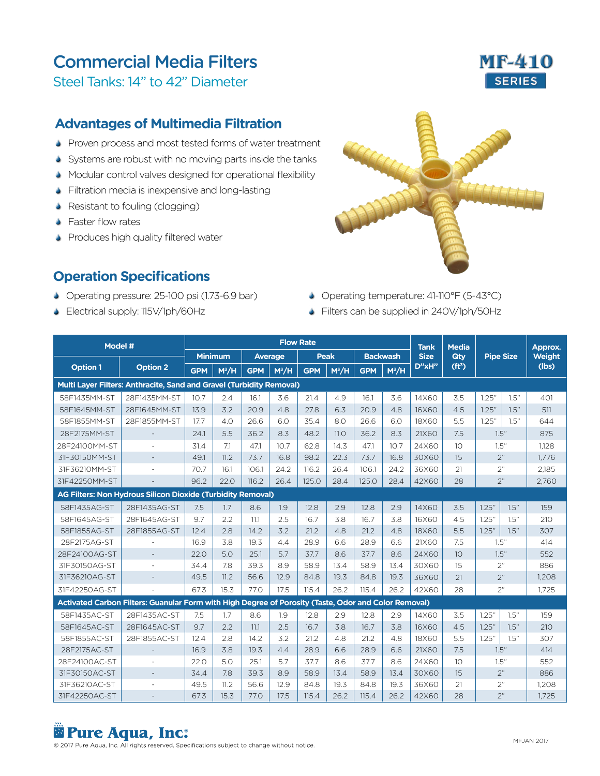# Commercial Media Filters **MF-410**

Steel Tanks: 14" to 42" Diameter

### **Advantages of Multimedia Filtration**

- Proven process and most tested forms of water treatment
- Systems are robust with no moving parts inside the tanks
- Modular control valves designed for operational flexibility
- Filtration media is inexpensive and long-lasting
- Resistant to fouling (clogging)
- **S** Faster flow rates
- **S** Produces high quality filtered water

### **Operation Specifications**

- Operating pressure: 25-100 psi (1.73-6.9 bar)
- Electrical supply: 115V/1ph/60Hz



- Operating temperature: 41-110°F (5-43°C)
- S Filters can be supplied in 240V/1ph/50Hz

| Model #                                                                                              |                          | <b>Flow Rate</b> |                   |                |         |             |         |                 |         |                            | <b>Media</b>       |                  |      | Approx.       |
|------------------------------------------------------------------------------------------------------|--------------------------|------------------|-------------------|----------------|---------|-------------|---------|-----------------|---------|----------------------------|--------------------|------------------|------|---------------|
|                                                                                                      |                          | <b>Minimum</b>   |                   | <b>Average</b> |         | <b>Peak</b> |         | <b>Backwash</b> |         | <b>Tank</b><br><b>Size</b> | <b>Qtv</b>         | <b>Pipe Size</b> |      | <b>Weight</b> |
| <b>Option 1</b>                                                                                      | <b>Option 2</b>          | <b>GPM</b>       | M <sup>3</sup> /H | <b>GPM</b>     | $M^3/H$ | <b>GPM</b>  | $M^3/H$ | <b>GPM</b>      | $M^3/H$ | D"xH"                      | (ft <sup>3</sup> ) |                  |      | (lbs)         |
| Multi Layer Filters: Anthracite, Sand and Gravel (Turbidity Removal)                                 |                          |                  |                   |                |         |             |         |                 |         |                            |                    |                  |      |               |
| 58F1435MM-ST                                                                                         | 28F1435MM-ST             | 10.7             | 2.4               | 16.1           | 3.6     | 21.4        | 4.9     | 16.1            | 3.6     | 14X60                      | 3.5                | 1.25"            | 1.5" | 401           |
| 58F1645MM-ST                                                                                         | 28F1645MM-ST             | 13.9             | 3.2               | 20.9           | 4.8     | 27.8        | 6.3     | 20.9            | 4.8     | 16X60                      | 4.5                | 1.25"            | 1.5" | 511           |
| 58F1855MM-ST                                                                                         | 28F1855MM-ST             | 17.7             | 4.0               | 26.6           | 6.0     | 35.4        | 8.0     | 26.6            | 6.0     | 18X60                      | 5.5                | 1.25"            | 1.5" | 644           |
| 28F2175MM-ST                                                                                         | $\overline{\phantom{a}}$ | 24.1             | 5.5               | 36.2           | 8.3     | 48.2        | 11.0    | 36.2            | 8.3     | 21X60                      | 7.5                | 1.5"             |      | 875           |
| 28F24100MM-ST                                                                                        |                          | 31.4             | 7.1               | 47.1           | 10.7    | 62.8        | 14.3    | 47.1            | 10.7    | 24X60                      | 10                 | 1.5"             |      | 1,128         |
| 31F30150MM-ST                                                                                        |                          | 49.1             | 11.2              | 73.7           | 16.8    | 98.2        | 22.3    | 73.7            | 16.8    | 30X60                      | 15                 | 2"               |      | 1,776         |
| 31F36210MM-ST                                                                                        |                          | 70.7             | 16.1              | 106.1          | 24.2    | 116.2       | 26.4    | 106.1           | 24.2    | 36X60                      | 21                 | 2"               |      | 2,185         |
| 31F42250MM-ST                                                                                        |                          | 96.2             | 22.0              | 116.2          | 26.4    | 125.0       | 28.4    | 125.0           | 28.4    | 42X60                      | 28                 | 2"               |      | 2.760         |
| <b>AG Filters: Non Hydrous Silicon Dioxide (Turbidity Removal)</b>                                   |                          |                  |                   |                |         |             |         |                 |         |                            |                    |                  |      |               |
| 58F1435AG-ST                                                                                         | 28F1435AG-ST             | 7.5              | 1.7               | 8.6            | 1.9     | 12.8        | 2.9     | 12.8            | 2.9     | 14X60                      | 3.5                | 1.25"            | 1.5" | 159           |
| 58F1645AG-ST                                                                                         | 28F1645AG-ST             | 9.7              | 2.2               | 11.1           | 2.5     | 16.7        | 3.8     | 16.7            | 3.8     | 16X60                      | 4.5                | 1.25"            | 1.5" | 210           |
| 58F1855AG-ST                                                                                         | 28F1855AG-ST             | 12.4             | 2.8               | 14.2           | 3.2     | 21.2        | 4.8     | 21.2            | 4.8     | 18X60                      | 5.5                | 1.25"            | 1.5" | 307           |
| 28F2175AG-ST                                                                                         |                          | 16.9             | 3.8               | 19.3           | 4.4     | 28.9        | 6.6     | 28.9            | 6.6     | 21X60                      | 7.5                | 1.5"             |      | 414           |
| 28F24100AG-ST                                                                                        | $\overline{\phantom{a}}$ | 22.0             | 5.0               | 25.1           | 5.7     | 37.7        | 8.6     | 37.7            | 8.6     | 24X60                      | 10 <sup>°</sup>    | 1.5"             |      | 552           |
| 31F30150AG-ST                                                                                        |                          | 34.4             | 7.8               | 39.3           | 8.9     | 58.9        | 13.4    | 58.9            | 13.4    | 30X60                      | 15                 | 2"               |      | 886           |
| 31F36210AG-ST                                                                                        | $\overline{\phantom{a}}$ | 49.5             | 11.2              | 56.6           | 12.9    | 84.8        | 19.3    | 84.8            | 19.3    | 36X60                      | 21                 | 2"               |      | 1,208         |
| 31F42250AG-ST                                                                                        |                          | 67.3             | 15.3              | 77.0           | 17.5    | 115.4       | 26.2    | 115.4           | 26.2    | 42X60                      | 28                 | 2"               |      | 1.725         |
| Activated Carbon Filters: Guanular Form with High Degree of Porosity (Taste, Odor and Color Removal) |                          |                  |                   |                |         |             |         |                 |         |                            |                    |                  |      |               |
| 58F1435AC-ST                                                                                         | 28F1435AC-ST             | 7.5              | 1.7               | 8.6            | 1.9     | 12.8        | 2.9     | 12.8            | 2.9     | 14X60                      | 3.5                | 1.25"            | 1.5" | 159           |
| 58F1645AC-ST                                                                                         | 28F1645AC-ST             | 9.7              | 2.2               | 11.1           | 2.5     | 16.7        | 3.8     | 16.7            | 3.8     | 16X60                      | 4.5                | 1.25"            | 1.5" | 210           |
| 58F1855AC-ST                                                                                         | 28F1855AC-ST             | 12.4             | 2.8               | 14.2           | 3.2     | 21.2        | 4.8     | 21.2            | 4.8     | 18X60                      | 5.5                | 1.25"            | 1.5" | 307           |
| 28F2175AC-ST                                                                                         | $\overline{\phantom{a}}$ | 16.9             | 3.8               | 19.3           | 4.4     | 28.9        | 6.6     | 28.9            | 6.6     | 21X60                      | 7.5                | 1.5"             |      | 414           |
| 28F24100AC-ST                                                                                        |                          | 22.0             | 5.0               | 25.1           | 5.7     | 37.7        | 8.6     | 37.7            | 8.6     | 24X60                      | 10                 | 1.5"             |      | 552           |
| 31F30150AC-ST                                                                                        | $\overline{\phantom{a}}$ | 34.4             | 7.8               | 39.3           | 8.9     | 58.9        | 13.4    | 58.9            | 13.4    | 30X60                      | 15                 | 2"               |      | 886           |
| 31F36210AC-ST                                                                                        | ٠                        | 49.5             | 11.2              | 56.6           | 12.9    | 84.8        | 19.3    | 84.8            | 19.3    | 36X60                      | 21                 | 2"               |      | 1.208         |
| 31F42250AC-ST                                                                                        |                          | 67.3             | 15.3              | 77.0           | 17.5    | 115.4       | 26.2    | 115.4           | 26.2    | 42X60                      | 28                 | 2"               |      | 1.725         |

# **Pure Aqua, Inc.** ®

© 2017 Pure Aqua, Inc. All rights reserved. Specifications subject to change without notice.